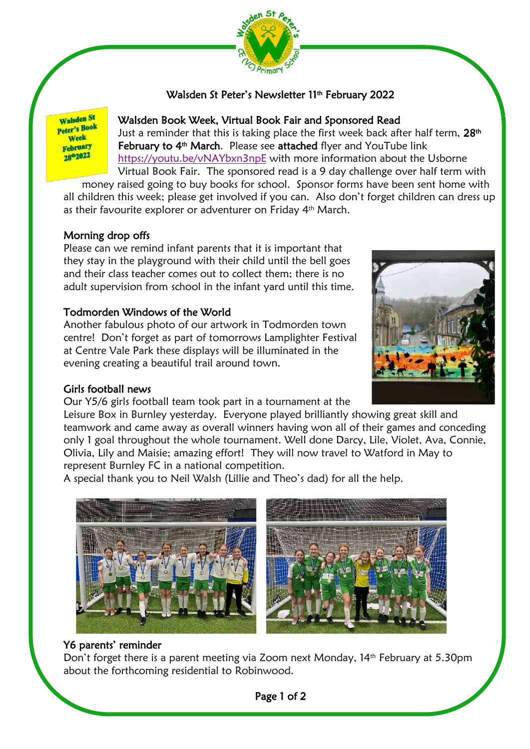

# Walsden St Peter's Newsletter 11<sup>th</sup> February 2022

**walsden St** Peter's Book **Week** February 28th 2022

## Walsden Book Week, Virtual Book Fair and Sponsored Read

Just a reminder that this is taking place the first week back after half term,  $28<sup>th</sup>$ February to 4<sup>th</sup> March. Please see attached flyer and YouTube link <https://youtu.be/vNAYbxn3npE> with more information about the Usborne Virtual Book Fair. The sponsored read is a 9 day challenge over half term with

money raised going to buy books for school. Sponsor forms have been sent home with all children this week; please get involved if you can. Also don't forget children can dress up as their favourite explorer or adventurer on Friday 4<sup>th</sup> March.

# Morning drop offs

Please can we remind infant parents that it is important that they stay in the playground with their child until the bell goes and their class teacher comes out to collect them; there is no adult supervision from school in the infant yard until this time.

# Todmorden Windows of the World

Another fabulous photo of our artwork in Todmorden town centre! Don't forget as part of tomorrows Lamplighter Festival at Centre Vale Park these displays will be illuminated in the evening creating a beautiful trail around town.



#### Girls football news

Our Y5/6 girls football team took part in a tournament at the

Leisure Box in Burnley yesterday. Everyone played brilliantly showing great skill and teamwork and came away as overall winners having won all of their games and conceding only 1 goal throughout the whole tournament. Well done Darcy, Lile, Violet, Ava, Connie, Olivia, Lily and Maisie; amazing effort! They will now travel to Watford in May to represent Burnley FC in a national competition.

A special thank you to Neil Walsh (Lillie and Theo's dad) for all the help.



# Y6 parents' reminder

Don't forget there is a parent meeting via Zoom next Monday, 14th February at 5.30pm about the forthcoming residential to Robinwood.

Page 1 of 2